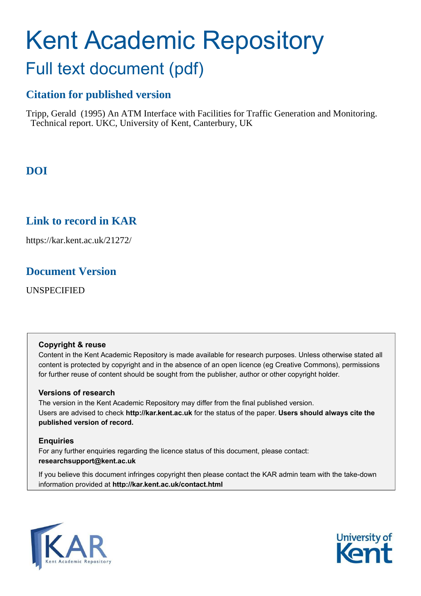# Kent Academic Repository Full text document (pdf)

# **Citation for published version**

Tripp, Gerald (1995) An ATM Interface with Facilities for Traffic Generation and Monitoring. Technical report. UKC, University of Kent, Canterbury, UK

# **DOI**

# **Link to record in KAR**

https://kar.kent.ac.uk/21272/

# **Document Version**

UNSPECIFIED

#### **Copyright & reuse**

Content in the Kent Academic Repository is made available for research purposes. Unless otherwise stated all content is protected by copyright and in the absence of an open licence (eg Creative Commons), permissions for further reuse of content should be sought from the publisher, author or other copyright holder.

#### **Versions of research**

The version in the Kent Academic Repository may differ from the final published version. Users are advised to check **http://kar.kent.ac.uk** for the status of the paper. **Users should always cite the published version of record.**

#### **Enquiries**

For any further enquiries regarding the licence status of this document, please contact: **researchsupport@kent.ac.uk**

If you believe this document infringes copyright then please contact the KAR admin team with the take-down information provided at **http://kar.kent.ac.uk/contact.html**



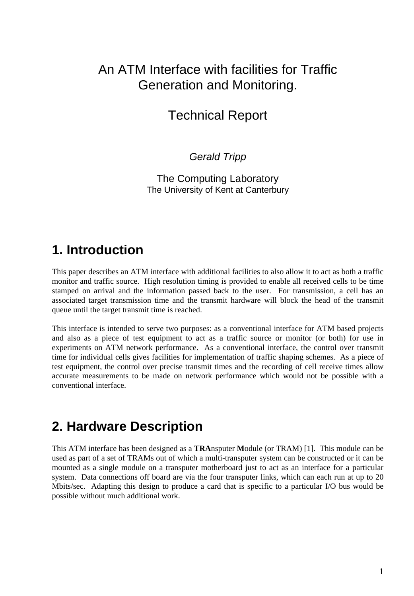# An ATM Interface with facilities for Traffic Generation and Monitoring.

# Technical Report

Gerald Tripp

The Computing Laboratory The University of Kent at Canterbury

# **1. Introduction**

This paper describes an ATM interface with additional facilities to also allow it to act as both a traffic monitor and traffic source. High resolution timing is provided to enable all received cells to be time stamped on arrival and the information passed back to the user. For transmission, a cell has an associated target transmission time and the transmit hardware will block the head of the transmit queue until the target transmit time is reached.

This interface is intended to serve two purposes: as a conventional interface for ATM based projects and also as a piece of test equipment to act as a traffic source or monitor (or both) for use in experiments on ATM network performance. As a conventional interface, the control over transmit time for individual cells gives facilities for implementation of traffic shaping schemes. As a piece of test equipment, the control over precise transmit times and the recording of cell receive times allow accurate measurements to be made on network performance which would not be possible with a conventional interface.

# **2. Hardware Description**

This ATM interface has been designed as a **TRA**nsputer **M**odule (or TRAM) [1]. This module can be used as part of a set of TRAMs out of which a multi-transputer system can be constructed or it can be mounted as a single module on a transputer motherboard just to act as an interface for a particular system. Data connections off board are via the four transputer links, which can each run at up to 20 Mbits/sec. Adapting this design to produce a card that is specific to a particular I/O bus would be possible without much additional work.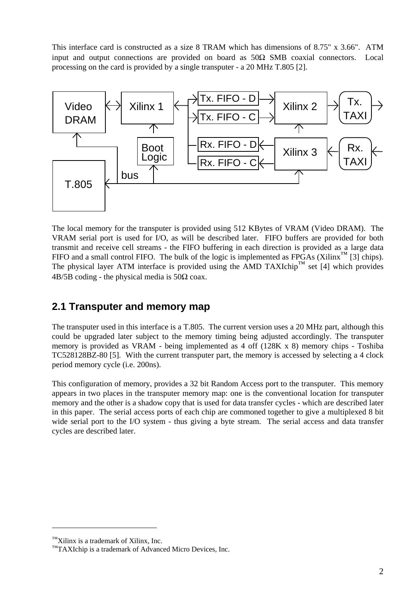This interface card is constructed as a size 8 TRAM which has dimensions of 8.75" x 3.66". ATM input and output connections are provided on board as  $50\Omega$  SMB coaxial connectors. Local processing on the card is provided by a single transputer - a 20 MHz T.805 [2].



The local memory for the transputer is provided using 512 KBytes of VRAM (Video DRAM). The VRAM serial port is used for I/O, as will be described later. FIFO buffers are provided for both transmit and receive cell streams - the FIFO buffering in each direction is provided as a large data FIFO and a small control FIFO. The bulk of the logic is implemented as FPGAs (Xilinx<sup>™</sup> [3] chips). The physical layer ATM interface is provided using the AMD TAXIchip™ set [4] which provides  $4B/5B$  coding - the physical media is  $50\Omega$  coax.

### **2.1 Transputer and memory map**

The transputer used in this interface is a T.805. The current version uses a 20 MHz part, although this could be upgraded later subject to the memory timing being adjusted accordingly. The transputer memory is provided as VRAM - being implemented as 4 off (128K x 8) memory chips - Toshiba TC528128BZ-80 [5]. With the current transputer part, the memory is accessed by selecting a 4 clock period memory cycle (i.e. 200ns).

This configuration of memory, provides a 32 bit Random Access port to the transputer. This memory appears in two places in the transputer memory map: one is the conventional location for transputer memory and the other is a shadow copy that is used for data transfer cycles - which are described later in this paper. The serial access ports of each chip are commoned together to give a multiplexed 8 bit wide serial port to the I/O system - thus giving a byte stream. The serial access and data transfer cycles are described later.

<sup>™</sup>Xilinx is a trademark of Xilinx, Inc.

<sup>™</sup>TAXIchip is a trademark of Advanced Micro Devices, Inc.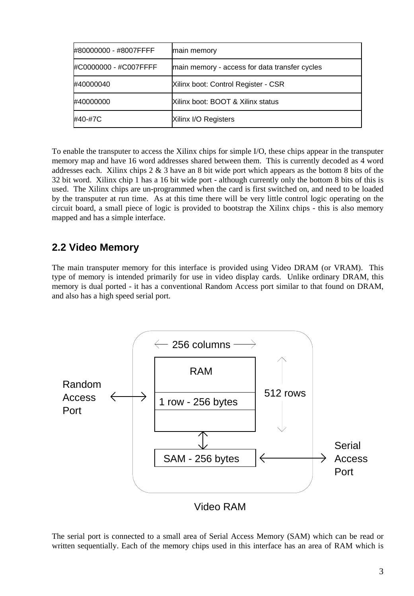| #80000000 - #8007FFFF | main memory                                   |
|-----------------------|-----------------------------------------------|
| #C0000000 - #C007FFFF | main memory - access for data transfer cycles |
| #40000040             | Xilinx boot: Control Register - CSR           |
| #40000000             | Xilinx boot: BOOT & Xilinx status             |
| #40-#7C               | <b>Xilinx I/O Registers</b>                   |

To enable the transputer to access the Xilinx chips for simple I/O, these chips appear in the transputer memory map and have 16 word addresses shared between them. This is currently decoded as 4 word addresses each. Xilinx chips  $2 \& 3$  have an 8 bit wide port which appears as the bottom 8 bits of the 32 bit word. Xilinx chip 1 has a 16 bit wide port - although currently only the bottom 8 bits of this is used. The Xilinx chips are un-programmed when the card is first switched on, and need to be loaded by the transputer at run time. As at this time there will be very little control logic operating on the circuit board, a small piece of logic is provided to bootstrap the Xilinx chips - this is also memory mapped and has a simple interface.

# **2.2 Video Memory**

The main transputer memory for this interface is provided using Video DRAM (or VRAM). This type of memory is intended primarily for use in video display cards. Unlike ordinary DRAM, this memory is dual ported - it has a conventional Random Access port similar to that found on DRAM, and also has a high speed serial port.



The serial port is connected to a small area of Serial Access Memory (SAM) which can be read or written sequentially. Each of the memory chips used in this interface has an area of RAM which is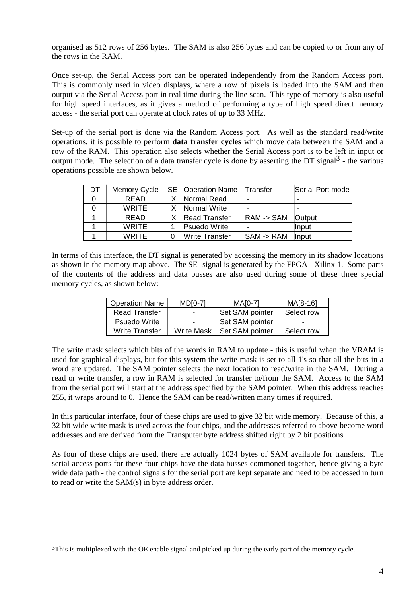organised as 512 rows of 256 bytes. The SAM is also 256 bytes and can be copied to or from any of the rows in the RAM.

Once set-up, the Serial Access port can be operated independently from the Random Access port. This is commonly used in video displays, where a row of pixels is loaded into the SAM and then output via the Serial Access port in real time during the line scan. This type of memory is also useful for high speed interfaces, as it gives a method of performing a type of high speed direct memory access - the serial port can operate at clock rates of up to 33 MHz.

Set-up of the serial port is done via the Random Access port. As well as the standard read/write operations, it is possible to perform **data transfer cycles** which move data between the SAM and a row of the RAM. This operation also selects whether the Serial Access port is to be left in input or output mode. The selection of a data transfer cycle is done by asserting the DT signal<sup>3</sup> - the various operations possible are shown below.

| DT | Memory Cycle | SE- Operation Name   | Transfer               | Serial Port mode |
|----|--------------|----------------------|------------------------|------------------|
|    | <b>READ</b>  | Normal Read          |                        |                  |
|    | <b>WRITE</b> | Normal Write         |                        |                  |
|    | <b>READ</b>  | <b>Read Transfer</b> | RAM > SAM              | <b>Output</b>    |
|    | <b>WRITE</b> | Psuedo Write         |                        | llnput           |
|    | <b>WRITE</b> | Write Transfer       | $SSAM \rightarrow RAM$ | llnput           |

In terms of this interface, the DT signal is generated by accessing the memory in its shadow locations as shown in the memory map above. The SE- signal is generated by the FPGA - Xilinx 1. Some parts of the contents of the address and data busses are also used during some of these three special memory cycles, as shown below:

| <b>Operation Name</b> | <b>MD[0-7]</b> | <b>MA[0-7]</b>         | MA[8-16]   |
|-----------------------|----------------|------------------------|------------|
| Read Transfer         | -              | <b>Set SAM pointer</b> | Select row |
| <b>Psuedo Write</b>   | -              | Set SAM pointer        | ۰          |
| Write Transfer        | Write Mask     | Set SAM pointer        | Select row |

The write mask selects which bits of the words in RAM to update - this is useful when the VRAM is used for graphical displays, but for this system the write-mask is set to all 1's so that all the bits in a word are updated. The SAM pointer selects the next location to read/write in the SAM. During a read or write transfer, a row in RAM is selected for transfer to/from the SAM. Access to the SAM from the serial port will start at the address specified by the SAM pointer. When this address reaches 255, it wraps around to 0. Hence the SAM can be read/written many times if required.

In this particular interface, four of these chips are used to give 32 bit wide memory. Because of this, a 32 bit wide write mask is used across the four chips, and the addresses referred to above become word addresses and are derived from the Transputer byte address shifted right by 2 bit positions.

As four of these chips are used, there are actually 1024 bytes of SAM available for transfers. The serial access ports for these four chips have the data busses commoned together, hence giving a byte wide data path - the control signals for the serial port are kept separate and need to be accessed in turn to read or write the SAM(s) in byte address order.

 $3$ This is multiplexed with the OE enable signal and picked up during the early part of the memory cycle.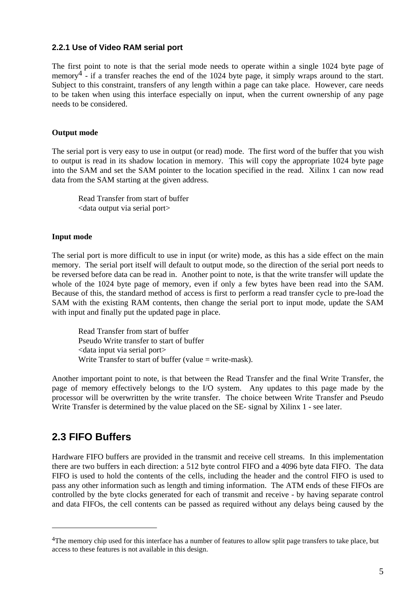#### **2.2.1 Use of Video RAM serial port**

The first point to note is that the serial mode needs to operate within a single 1024 byte page of memory<sup>4</sup> - if a transfer reaches the end of the 1024 byte page, it simply wraps around to the start. Subject to this constraint, transfers of any length within a page can take place. However, care needs to be taken when using this interface especially on input, when the current ownership of any page needs to be considered.

#### **Output mode**

The serial port is very easy to use in output (or read) mode. The first word of the buffer that you wish to output is read in its shadow location in memory. This will copy the appropriate 1024 byte page into the SAM and set the SAM pointer to the location specified in the read. Xilinx 1 can now read data from the SAM starting at the given address.

Read Transfer from start of buffer <data output via serial port>

#### **Input mode**

The serial port is more difficult to use in input (or write) mode, as this has a side effect on the main memory. The serial port itself will default to output mode, so the direction of the serial port needs to be reversed before data can be read in. Another point to note, is that the write transfer will update the whole of the 1024 byte page of memory, even if only a few bytes have been read into the SAM. Because of this, the standard method of access is first to perform a read transfer cycle to pre-load the SAM with the existing RAM contents, then change the serial port to input mode, update the SAM with input and finally put the updated page in place.

Read Transfer from start of buffer Pseudo Write transfer to start of buffer <data input via serial port> Write Transfer to start of buffer (value  $=$  write-mask).

Another important point to note, is that between the Read Transfer and the final Write Transfer, the page of memory effectively belongs to the I/O system. Any updates to this page made by the processor will be overwritten by the write transfer. The choice between Write Transfer and Pseudo Write Transfer is determined by the value placed on the SE- signal by Xilinx 1 - see later.

### **2.3 FIFO Buffers**

Hardware FIFO buffers are provided in the transmit and receive cell streams. In this implementation there are two buffers in each direction: a 512 byte control FIFO and a 4096 byte data FIFO. The data FIFO is used to hold the contents of the cells, including the header and the control FIFO is used to pass any other information such as length and timing information. The ATM ends of these FIFOs are controlled by the byte clocks generated for each of transmit and receive - by having separate control and data FIFOs, the cell contents can be passed as required without any delays being caused by the

<sup>&</sup>lt;sup>4</sup>The memory chip used for this interface has a number of features to allow split page transfers to take place, but access to these features is not available in this design.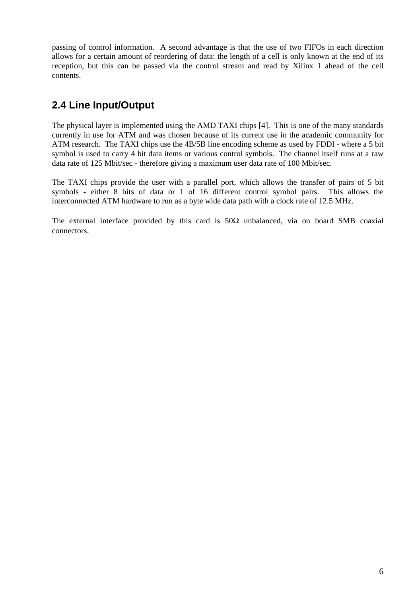passing of control information. A second advantage is that the use of two FIFOs in each direction allows for a certain amount of reordering of data: the length of a cell is only known at the end of its reception, but this can be passed via the control stream and read by Xilinx 1 ahead of the cell contents.

# **2.4 Line Input/Output**

The physical layer is implemented using the AMD TAXI chips [4]. This is one of the many standards currently in use for ATM and was chosen because of its current use in the academic community for ATM research. The TAXI chips use the 4B/5B line encoding scheme as used by FDDI - where a 5 bit symbol is used to carry 4 bit data items or various control symbols. The channel itself runs at a raw data rate of 125 Mbit/sec - therefore giving a maximum user data rate of 100 Mbit/sec.

The TAXI chips provide the user with a parallel port, which allows the transfer of pairs of 5 bit symbols - either 8 bits of data or 1 of 16 different control symbol pairs. This allows the interconnected ATM hardware to run as a byte wide data path with a clock rate of 12.5 MHz.

The external interface provided by this card is  $50\Omega$  unbalanced, via on board SMB coaxial connectors.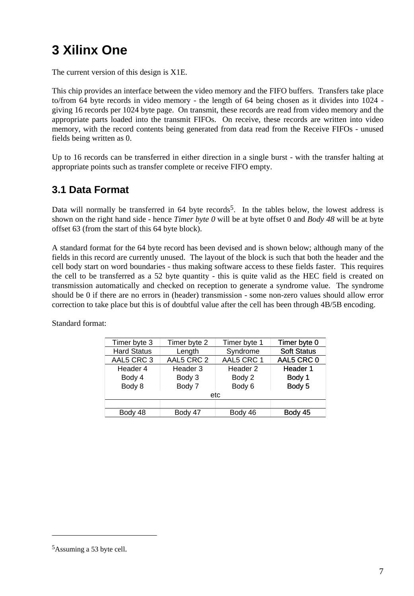# **3 Xilinx One**

The current version of this design is X1E.

This chip provides an interface between the video memory and the FIFO buffers. Transfers take place to/from 64 byte records in video memory - the length of 64 being chosen as it divides into 1024 giving 16 records per 1024 byte page. On transmit, these records are read from video memory and the appropriate parts loaded into the transmit FIFOs. On receive, these records are written into video memory, with the record contents being generated from data read from the Receive FIFOs - unused fields being written as 0.

Up to 16 records can be transferred in either direction in a single burst - with the transfer halting at appropriate points such as transfer complete or receive FIFO empty.

# **3.1 Data Format**

Data will normally be transferred in  $64$  byte records<sup>5</sup>. In the tables below, the lowest address is shown on the right hand side - hence *Timer byte 0* will be at byte offset 0 and *Body 48* will be at byte offset 63 (from the start of this 64 byte block).

A standard format for the 64 byte record has been devised and is shown below; although many of the fields in this record are currently unused. The layout of the block is such that both the header and the cell body start on word boundaries - thus making software access to these fields faster. This requires the cell to be transferred as a 52 byte quantity - this is quite valid as the HEC field is created on transmission automatically and checked on reception to generate a syndrome value. The syndrome should be 0 if there are no errors in (header) transmission - some non-zero values should allow error correction to take place but this is of doubtful value after the cell has been through 4B/5B encoding.

| Timer byte 3       | Timer byte 2       | Timer byte 1 | Timer byte 0       |  |  |
|--------------------|--------------------|--------------|--------------------|--|--|
| <b>Hard Status</b> | Syndrome<br>Length |              | <b>Soft Status</b> |  |  |
| AAL5 CRC 3         | AAL5 CRC 2         | AAL5 CRC 1   | AAL5 CRC 0         |  |  |
| Header 4           | Header 3           | Header 2     | Header 1           |  |  |
| Body 4             | Body 3             | Body 2       |                    |  |  |
| Body 8             | Body 7<br>Body 6   |              | Body 5             |  |  |
| etc                |                    |              |                    |  |  |
|                    |                    |              |                    |  |  |
| Body 48            | Body 47            | Body 46      | Body 45            |  |  |

Standard format:

<sup>5</sup>Assuming a 53 byte cell.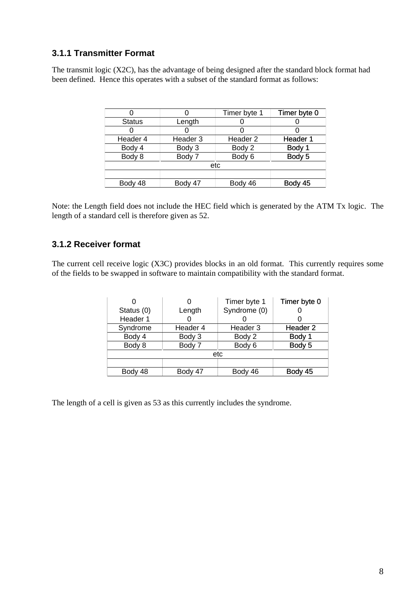#### **3.1.1 Transmitter Format**

The transmit logic (X2C), has the advantage of being designed after the standard block format had been defined. Hence this operates with a subset of the standard format as follows:

|               |                  | Timer byte 1        | Timer byte 0 |
|---------------|------------------|---------------------|--------------|
| <b>Status</b> | Length           |                     |              |
|               |                  |                     |              |
| Header 4      | Header 3         | Header <sub>2</sub> | Header 1     |
| Body 4        | Body 3           | Body 2              | Body 1       |
| Body 8        | Body 6<br>Body 7 |                     | Body 5       |
|               |                  | etc                 |              |
|               |                  |                     |              |
| Body 48       | Body 47          | Body 46             | Body 45      |

Note: the Length field does not include the HEC field which is generated by the ATM Tx logic. The length of a standard cell is therefore given as 52.

#### **3.1.2 Receiver format**

The current cell receive logic (X3C) provides blocks in an old format. This currently requires some of the fields to be swapped in software to maintain compatibility with the standard format.

|            |                  | Timer byte 1 | Timer byte 0        |
|------------|------------------|--------------|---------------------|
| Status (0) | Length           | Syndrome (0) |                     |
| Header 1   |                  |              |                     |
| Syndrome   | Header 4         | Header 3     | Header <sub>2</sub> |
| Body 4     | Body 3           | Body 2       | Body 1              |
| Body 8     | Body 7<br>Body 6 |              | Body 5              |
|            |                  | etc          |                     |
|            |                  |              |                     |
| Body 48    | Body 47          | Body 46      | Body 45             |

The length of a cell is given as 53 as this currently includes the syndrome.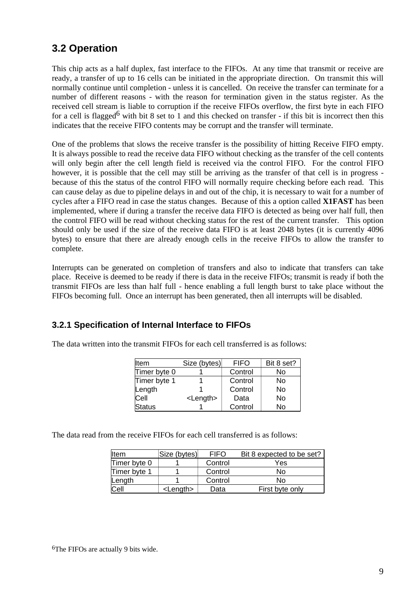# **3.2 Operation**

This chip acts as a half duplex, fast interface to the FIFOs. At any time that transmit or receive are ready, a transfer of up to 16 cells can be initiated in the appropriate direction. On transmit this will normally continue until completion - unless it is cancelled. On receive the transfer can terminate for a number of different reasons - with the reason for termination given in the status register. As the received cell stream is liable to corruption if the receive FIFOs overflow, the first byte in each FIFO for a cell is flagged<sup>6</sup> with bit 8 set to 1 and this checked on transfer - if this bit is incorrect then this indicates that the receive FIFO contents may be corrupt and the transfer will terminate.

One of the problems that slows the receive transfer is the possibility of hitting Receive FIFO empty. It is always possible to read the receive data FIFO without checking as the transfer of the cell contents will only begin after the cell length field is received via the control FIFO. For the control FIFO however, it is possible that the cell may still be arriving as the transfer of that cell is in progress because of this the status of the control FIFO will normally require checking before each read. This can cause delay as due to pipeline delays in and out of the chip, it is necessary to wait for a number of cycles after a FIFO read in case the status changes. Because of this a option called **X1FAST** has been implemented, where if during a transfer the receive data FIFO is detected as being over half full, then the control FIFO will be read without checking status for the rest of the current transfer. This option should only be used if the size of the receive data FIFO is at least 2048 bytes (it is currently 4096 bytes) to ensure that there are already enough cells in the receive FIFOs to allow the transfer to complete.

Interrupts can be generated on completion of transfers and also to indicate that transfers can take place. Receive is deemed to be ready if there is data in the receive FIFOs; transmit is ready if both the transmit FIFOs are less than half full - hence enabling a full length burst to take place without the FIFOs becoming full. Once an interrupt has been generated, then all interrupts will be disabled.

#### **3.2.1 Specification of Internal Interface to FIFOs**

The data written into the transmit FIFOs for each cell transferred is as follows:

| <b>I</b> tem  | Size (bytes)      | <b>FIFO</b> | Bit 8 set? |
|---------------|-------------------|-------------|------------|
| Timer byte 0  |                   | Control     | No         |
| Timer byte 1  |                   | Control     | No         |
| Length        |                   | Control     | No         |
| Cell          | <length></length> | Data        | No         |
| <b>Status</b> |                   | Control     | No         |

The data read from the receive FIFOs for each cell transferred is as follows:

| <b>I</b> tem | Size (bytes)      | <b>FIFO</b> | Bit 8 expected to be set? |
|--------------|-------------------|-------------|---------------------------|
| Timer byte 0 |                   | Control     | Yes                       |
| Timer byte 1 |                   | Control     | No                        |
| Length       |                   | Control     | N٥                        |
| <b>Cell</b>  | <length></length> | Data        | First byte only           |

<sup>6</sup>The FIFOs are actually 9 bits wide.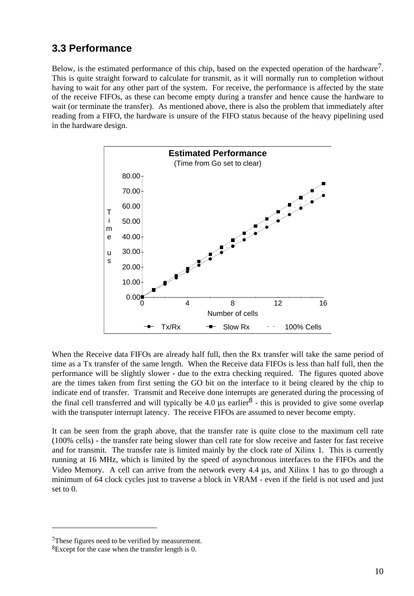### **3.3 Performance**

Below, is the estimated performance of this chip, based on the expected operation of the hardware<sup>7</sup>. This is quite straight forward to calculate for transmit, as it will normally run to completion without having to wait for any other part of the system. For receive, the performance is affected by the state of the receive FIFOs, as these can become empty during a transfer and hence cause the hardware to wait (or terminate the transfer). As mentioned above, there is also the problem that immediately after reading from a FIFO, the hardware is unsure of the FIFO status because of the heavy pipelining used in the hardware design.



When the Receive data FIFOs are already half full, then the Rx transfer will take the same period of time as a Tx transfer of the same length. When the Receive data FIFOs is less than half full, then the performance will be slightly slower - due to the extra checking required. The figures quoted above are the times taken from first setting the GO bit on the interface to it being cleared by the chip to indicate end of transfer. Transmit and Receive done interrupts are generated during the processing of the final cell transferred and will typically be 4.0  $\mu$ s earlier<sup>8</sup> - this is provided to give some overlap with the transputer interrupt latency. The receive FIFOs are assumed to never become empty.

It can be seen from the graph above, that the transfer rate is quite close to the maximum cell rate (100% cells) - the transfer rate being slower than cell rate for slow receive and faster for fast receive and for transmit. The transfer rate is limited mainly by the clock rate of Xilinx 1. This is currently running at 16 MHz, which is limited by the speed of asynchronous interfaces to the FIFOs and the Video Memory. A cell can arrive from the network every 4.4 µs, and Xilinx 1 has to go through a minimum of 64 clock cycles just to traverse a block in VRAM - even if the field is not used and just set to 0.

<sup>7</sup>These figures need to be verified by measurement.

<sup>8</sup>Except for the case when the transfer length is 0.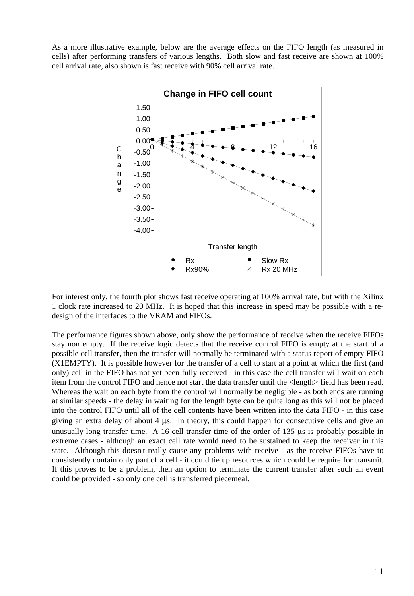As a more illustrative example, below are the average effects on the FIFO length (as measured in cells) after performing transfers of various lengths. Both slow and fast receive are shown at 100% cell arrival rate, also shown is fast receive with 90% cell arrival rate.



For interest only, the fourth plot shows fast receive operating at 100% arrival rate, but with the Xilinx 1 clock rate increased to 20 MHz. It is hoped that this increase in speed may be possible with a redesign of the interfaces to the VRAM and FIFOs.

The performance figures shown above, only show the performance of receive when the receive FIFOs stay non empty. If the receive logic detects that the receive control FIFO is empty at the start of a possible cell transfer, then the transfer will normally be terminated with a status report of empty FIFO (X1EMPTY). It is possible however for the transfer of a cell to start at a point at which the first (and only) cell in the FIFO has not yet been fully received - in this case the cell transfer will wait on each item from the control FIFO and hence not start the data transfer until the <length> field has been read. Whereas the wait on each byte from the control will normally be negligible - as both ends are running at similar speeds - the delay in waiting for the length byte can be quite long as this will not be placed into the control FIFO until all of the cell contents have been written into the data FIFO - in this case giving an extra delay of about 4 µs. In theory, this could happen for consecutive cells and give an unusually long transfer time. A 16 cell transfer time of the order of 135 µs is probably possible in extreme cases - although an exact cell rate would need to be sustained to keep the receiver in this state. Although this doesn't really cause any problems with receive - as the receive FIFOs have to consistently contain only part of a cell - it could tie up resources which could be require for transmit. If this proves to be a problem, then an option to terminate the current transfer after such an event could be provided - so only one cell is transferred piecemeal.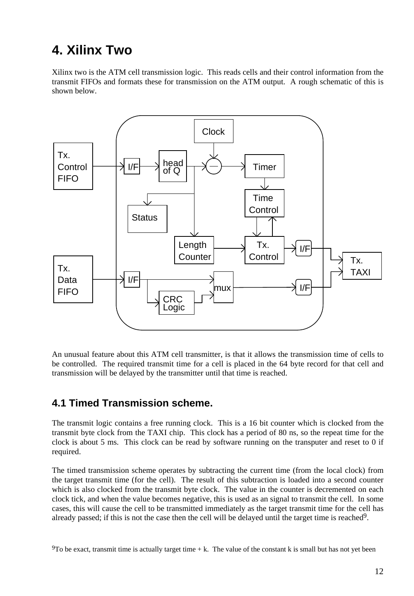# **4. Xilinx Two**

Xilinx two is the ATM cell transmission logic. This reads cells and their control information from the transmit FIFOs and formats these for transmission on the ATM output. A rough schematic of this is shown below.



An unusual feature about this ATM cell transmitter, is that it allows the transmission time of cells to be controlled. The required transmit time for a cell is placed in the 64 byte record for that cell and transmission will be delayed by the transmitter until that time is reached.

### **4.1 Timed Transmission scheme.**

The transmit logic contains a free running clock. This is a 16 bit counter which is clocked from the transmit byte clock from the TAXI chip. This clock has a period of 80 ns, so the repeat time for the clock is about 5 ms. This clock can be read by software running on the transputer and reset to 0 if required.

The timed transmission scheme operates by subtracting the current time (from the local clock) from the target transmit time (for the cell). The result of this subtraction is loaded into a second counter which is also clocked from the transmit byte clock. The value in the counter is decremented on each clock tick, and when the value becomes negative, this is used as an signal to transmit the cell. In some cases, this will cause the cell to be transmitted immediately as the target transmit time for the cell has already passed; if this is not the case then the cell will be delayed until the target time is reached<sup>9</sup>.

 $9T$ o be exact, transmit time is actually target time + k. The value of the constant k is small but has not yet been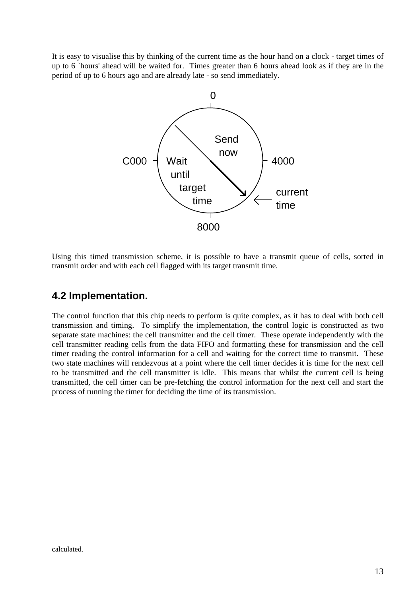It is easy to visualise this by thinking of the current time as the hour hand on a clock - target times of up to 6 `hours' ahead will be waited for. Times greater than 6 hours ahead look as if they are in the period of up to 6 hours ago and are already late - so send immediately.



Using this timed transmission scheme, it is possible to have a transmit queue of cells, sorted in transmit order and with each cell flagged with its target transmit time.

#### **4.2 Implementation.**

The control function that this chip needs to perform is quite complex, as it has to deal with both cell transmission and timing. To simplify the implementation, the control logic is constructed as two separate state machines: the cell transmitter and the cell timer. These operate independently with the cell transmitter reading cells from the data FIFO and formatting these for transmission and the cell timer reading the control information for a cell and waiting for the correct time to transmit. These two state machines will rendezvous at a point where the cell timer decides it is time for the next cell to be transmitted and the cell transmitter is idle. This means that whilst the current cell is being transmitted, the cell timer can be pre-fetching the control information for the next cell and start the process of running the timer for deciding the time of its transmission.

calculated.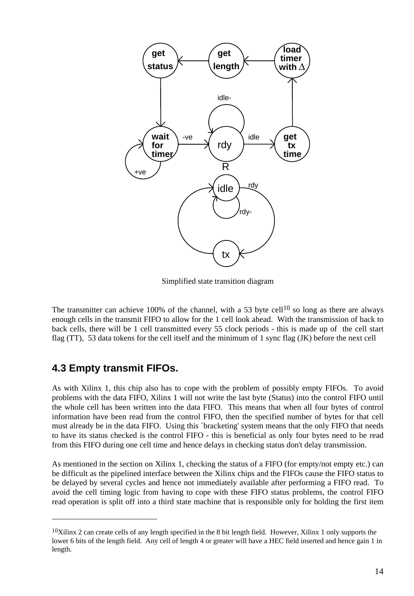

Simplified state transition diagram

The transmitter can achieve 100% of the channel, with a 53 byte cell<sup>10</sup> so long as there are always enough cells in the transmit FIFO to allow for the 1 cell look ahead. With the transmission of back to back cells, there will be 1 cell transmitted every 55 clock periods - this is made up of the cell start flag (TT), 53 data tokens for the cell itself and the minimum of 1 sync flag (JK) before the next cell

### **4.3 Empty transmit FIFOs.**

As with Xilinx 1, this chip also has to cope with the problem of possibly empty FIFOs. To avoid problems with the data FIFO, Xilinx 1 will not write the last byte (Status) into the control FIFO until the whole cell has been written into the data FIFO. This means that when all four bytes of control information have been read from the control FIFO, then the specified number of bytes for that cell must already be in the data FIFO. Using this `bracketing' system means that the only FIFO that needs to have its status checked is the control FIFO - this is beneficial as only four bytes need to be read from this FIFO during one cell time and hence delays in checking status don't delay transmission.

As mentioned in the section on Xilinx 1, checking the status of a FIFO (for empty/not empty etc.) can be difficult as the pipelined interface between the Xilinx chips and the FIFOs cause the FIFO status to be delayed by several cycles and hence not immediately available after performing a FIFO read. To avoid the cell timing logic from having to cope with these FIFO status problems, the control FIFO read operation is split off into a third state machine that is responsible only for holding the first item

 $10$ Xilinx 2 can create cells of any length specified in the 8 bit length field. However, Xilinx 1 only supports the lower 6 bits of the length field. Any cell of length 4 or greater will have a HEC field inserted and hence gain 1 in length.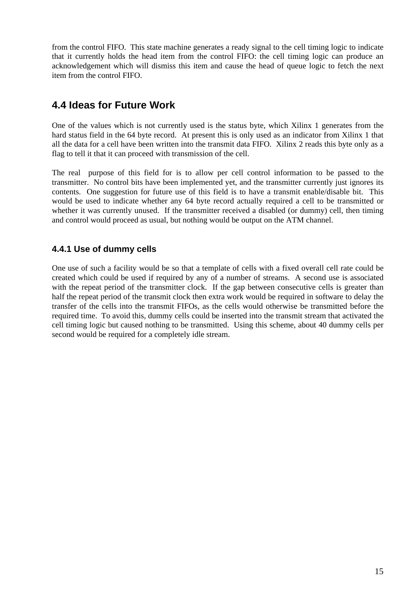from the control FIFO. This state machine generates a ready signal to the cell timing logic to indicate that it currently holds the head item from the control FIFO: the cell timing logic can produce an acknowledgement which will dismiss this item and cause the head of queue logic to fetch the next item from the control FIFO.

# **4.4 Ideas for Future Work**

One of the values which is not currently used is the status byte, which Xilinx 1 generates from the hard status field in the 64 byte record. At present this is only used as an indicator from Xilinx 1 that all the data for a cell have been written into the transmit data FIFO. Xilinx 2 reads this byte only as a flag to tell it that it can proceed with transmission of the cell.

The real purpose of this field for is to allow per cell control information to be passed to the transmitter. No control bits have been implemented yet, and the transmitter currently just ignores its contents. One suggestion for future use of this field is to have a transmit enable/disable bit. This would be used to indicate whether any 64 byte record actually required a cell to be transmitted or whether it was currently unused. If the transmitter received a disabled (or dummy) cell, then timing and control would proceed as usual, but nothing would be output on the ATM channel.

#### **4.4.1 Use of dummy cells**

One use of such a facility would be so that a template of cells with a fixed overall cell rate could be created which could be used if required by any of a number of streams. A second use is associated with the repeat period of the transmitter clock. If the gap between consecutive cells is greater than half the repeat period of the transmit clock then extra work would be required in software to delay the transfer of the cells into the transmit FIFOs, as the cells would otherwise be transmitted before the required time. To avoid this, dummy cells could be inserted into the transmit stream that activated the cell timing logic but caused nothing to be transmitted. Using this scheme, about 40 dummy cells per second would be required for a completely idle stream.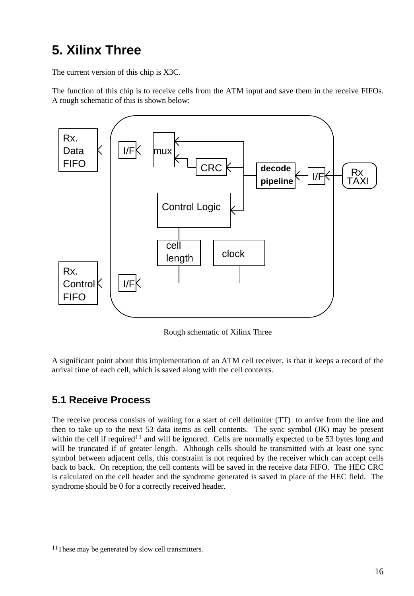# **5. Xilinx Three**

The current version of this chip is X3C.

The function of this chip is to receive cells from the ATM input and save them in the receive FIFOs. A rough schematic of this is shown below:



Rough schematic of Xilinx Three

A significant point about this implementation of an ATM cell receiver, is that it keeps a record of the arrival time of each cell, which is saved along with the cell contents.

# **5.1 Receive Process**

The receive process consists of waiting for a start of cell delimiter (TT) to arrive from the line and then to take up to the next 53 data items as cell contents. The sync symbol (JK) may be present within the cell if required<sup>11</sup> and will be ignored. Cells are normally expected to be 53 bytes long and will be truncated if of greater length. Although cells should be transmitted with at least one sync symbol between adjacent cells, this constraint is not required by the receiver which can accept cells back to back. On reception, the cell contents will be saved in the receive data FIFO. The HEC CRC is calculated on the cell header and the syndrome generated is saved in place of the HEC field. The syndrome should be 0 for a correctly received header.

<sup>11</sup>These may be generated by slow cell transmitters.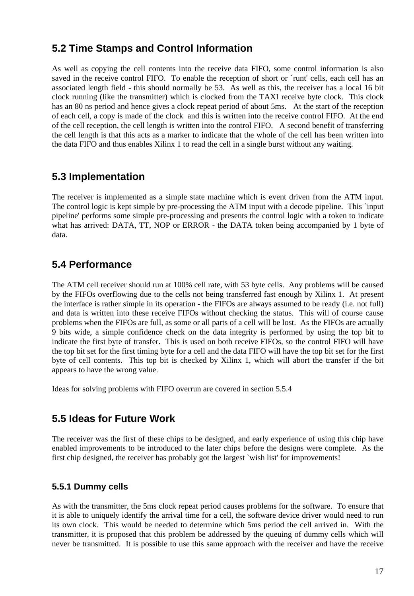### **5.2 Time Stamps and Control Information**

As well as copying the cell contents into the receive data FIFO, some control information is also saved in the receive control FIFO. To enable the reception of short or `runt' cells, each cell has an associated length field - this should normally be 53. As well as this, the receiver has a local 16 bit clock running (like the transmitter) which is clocked from the TAXI receive byte clock. This clock has an 80 ns period and hence gives a clock repeat period of about 5ms. At the start of the reception of each cell, a copy is made of the clock and this is written into the receive control FIFO. At the end of the cell reception, the cell length is written into the control FIFO. A second benefit of transferring the cell length is that this acts as a marker to indicate that the whole of the cell has been written into the data FIFO and thus enables Xilinx 1 to read the cell in a single burst without any waiting.

### **5.3 Implementation**

The receiver is implemented as a simple state machine which is event driven from the ATM input. The control logic is kept simple by pre-processing the ATM input with a decode pipeline. This `input pipeline' performs some simple pre-processing and presents the control logic with a token to indicate what has arrived: DATA, TT, NOP or ERROR - the DATA token being accompanied by 1 byte of data.

### **5.4 Performance**

The ATM cell receiver should run at 100% cell rate, with 53 byte cells. Any problems will be caused by the FIFOs overflowing due to the cells not being transferred fast enough by Xilinx 1. At present the interface is rather simple in its operation - the FIFOs are always assumed to be ready (i.e. not full) and data is written into these receive FIFOs without checking the status. This will of course cause problems when the FIFOs are full, as some or all parts of a cell will be lost. As the FIFOs are actually 9 bits wide, a simple confidence check on the data integrity is performed by using the top bit to indicate the first byte of transfer. This is used on both receive FIFOs, so the control FIFO will have the top bit set for the first timing byte for a cell and the data FIFO will have the top bit set for the first byte of cell contents. This top bit is checked by Xilinx 1, which will abort the transfer if the bit appears to have the wrong value.

Ideas for solving problems with FIFO overrun are covered in section 5.5.4

### **5.5 Ideas for Future Work**

The receiver was the first of these chips to be designed, and early experience of using this chip have enabled improvements to be introduced to the later chips before the designs were complete. As the first chip designed, the receiver has probably got the largest `wish list' for improvements!

#### **5.5.1 Dummy cells**

As with the transmitter, the 5ms clock repeat period causes problems for the software. To ensure that it is able to uniquely identify the arrival time for a cell, the software device driver would need to run its own clock. This would be needed to determine which 5ms period the cell arrived in. With the transmitter, it is proposed that this problem be addressed by the queuing of dummy cells which will never be transmitted. It is possible to use this same approach with the receiver and have the receive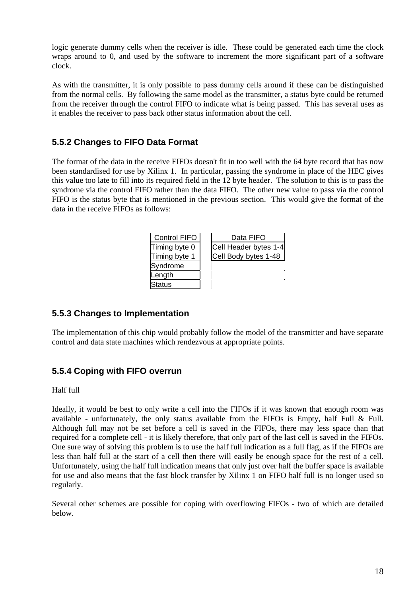logic generate dummy cells when the receiver is idle. These could be generated each time the clock wraps around to 0, and used by the software to increment the more significant part of a software clock.

As with the transmitter, it is only possible to pass dummy cells around if these can be distinguished from the normal cells. By following the same model as the transmitter, a status byte could be returned from the receiver through the control FIFO to indicate what is being passed. This has several uses as it enables the receiver to pass back other status information about the cell.

#### **5.5.2 Changes to FIFO Data Format**

The format of the data in the receive FIFOs doesn't fit in too well with the 64 byte record that has now been standardised for use by Xilinx 1. In particular, passing the syndrome in place of the HEC gives this value too late to fill into its required field in the 12 byte header. The solution to this is to pass the syndrome via the control FIFO rather than the data FIFO. The other new value to pass via the control FIFO is the status byte that is mentioned in the previous section. This would give the format of the data in the receive FIFOs as follows:

| <b>Control FIFO</b> | Data FIFO             |
|---------------------|-----------------------|
| Timing byte 0       | Cell Header bytes 1-4 |
| Timing byte 1       | Cell Body bytes 1-48  |
| Syndrome            |                       |
| Length              |                       |
| <b>Status</b>       |                       |

#### **5.5.3 Changes to Implementation**

The implementation of this chip would probably follow the model of the transmitter and have separate control and data state machines which rendezvous at appropriate points.

#### **5.5.4 Coping with FIFO overrun**

#### Half full

Ideally, it would be best to only write a cell into the FIFOs if it was known that enough room was available - unfortunately, the only status available from the FIFOs is Empty, half Full & Full. Although full may not be set before a cell is saved in the FIFOs, there may less space than that required for a complete cell - it is likely therefore, that only part of the last cell is saved in the FIFOs. One sure way of solving this problem is to use the half full indication as a full flag, as if the FIFOs are less than half full at the start of a cell then there will easily be enough space for the rest of a cell. Unfortunately, using the half full indication means that only just over half the buffer space is available for use and also means that the fast block transfer by Xilinx 1 on FIFO half full is no longer used so regularly.

Several other schemes are possible for coping with overflowing FIFOs - two of which are detailed below.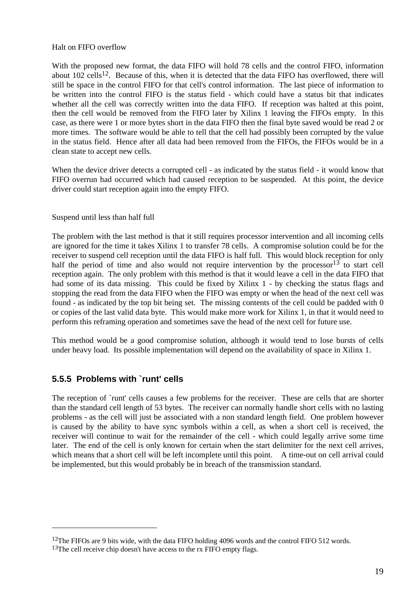#### Halt on FIFO overflow

With the proposed new format, the data FIFO will hold 78 cells and the control FIFO, information about  $102$  cells<sup>12</sup>. Because of this, when it is detected that the data FIFO has overflowed, there will still be space in the control FIFO for that cell's control information. The last piece of information to be written into the control FIFO is the status field - which could have a status bit that indicates whether all the cell was correctly written into the data FIFO. If reception was halted at this point, then the cell would be removed from the FIFO later by Xilinx 1 leaving the FIFOs empty. In this case, as there were 1 or more bytes short in the data FIFO then the final byte saved would be read 2 or more times. The software would be able to tell that the cell had possibly been corrupted by the value in the status field. Hence after all data had been removed from the FIFOs, the FIFOs would be in a clean state to accept new cells.

When the device driver detects a corrupted cell - as indicated by the status field - it would know that FIFO overrun had occurred which had caused reception to be suspended. At this point, the device driver could start reception again into the empty FIFO.

#### Suspend until less than half full

The problem with the last method is that it still requires processor intervention and all incoming cells are ignored for the time it takes Xilinx 1 to transfer 78 cells. A compromise solution could be for the receiver to suspend cell reception until the data FIFO is half full. This would block reception for only half the period of time and also would not require intervention by the processor<sup>13</sup> to start cell reception again. The only problem with this method is that it would leave a cell in the data FIFO that had some of its data missing. This could be fixed by Xilinx 1 - by checking the status flags and stopping the read from the data FIFO when the FIFO was empty or when the head of the next cell was found - as indicated by the top bit being set. The missing contents of the cell could be padded with 0 or copies of the last valid data byte. This would make more work for Xilinx 1, in that it would need to perform this reframing operation and sometimes save the head of the next cell for future use.

This method would be a good compromise solution, although it would tend to lose bursts of cells under heavy load. Its possible implementation will depend on the availability of space in Xilinx 1.

#### **5.5.5 Problems with `runt' cells**

The reception of `runt' cells causes a few problems for the receiver. These are cells that are shorter than the standard cell length of 53 bytes. The receiver can normally handle short cells with no lasting problems - as the cell will just be associated with a non standard length field. One problem however is caused by the ability to have sync symbols within a cell, as when a short cell is received, the receiver will continue to wait for the remainder of the cell - which could legally arrive some time later. The end of the cell is only known for certain when the start delimiter for the next cell arrives, which means that a short cell will be left incomplete until this point. A time-out on cell arrival could be implemented, but this would probably be in breach of the transmission standard.

<sup>&</sup>lt;sup>12</sup>The FIFOs are 9 bits wide, with the data FIFO holding 4096 words and the control FIFO 512 words.

<sup>&</sup>lt;sup>13</sup>The cell receive chip doesn't have access to the rx FIFO empty flags.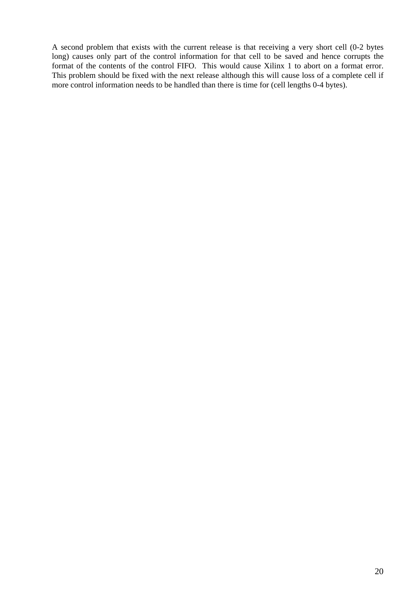A second problem that exists with the current release is that receiving a very short cell (0-2 bytes long) causes only part of the control information for that cell to be saved and hence corrupts the format of the contents of the control FIFO. This would cause Xilinx 1 to abort on a format error. This problem should be fixed with the next release although this will cause loss of a complete cell if more control information needs to be handled than there is time for (cell lengths 0-4 bytes).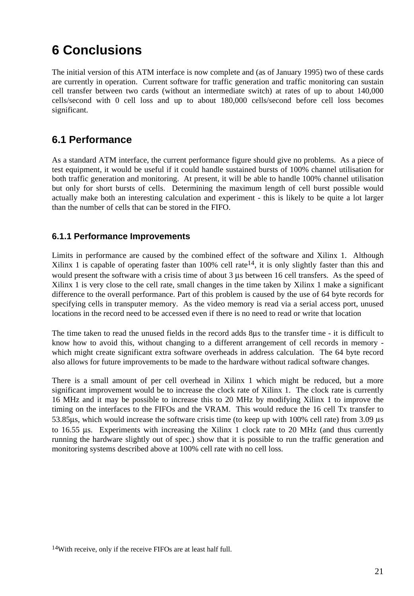# **6 Conclusions**

The initial version of this ATM interface is now complete and (as of January 1995) two of these cards are currently in operation. Current software for traffic generation and traffic monitoring can sustain cell transfer between two cards (without an intermediate switch) at rates of up to about 140,000 cells/second with 0 cell loss and up to about 180,000 cells/second before cell loss becomes significant.

## **6.1 Performance**

As a standard ATM interface, the current performance figure should give no problems. As a piece of test equipment, it would be useful if it could handle sustained bursts of 100% channel utilisation for both traffic generation and monitoring. At present, it will be able to handle 100% channel utilisation but only for short bursts of cells. Determining the maximum length of cell burst possible would actually make both an interesting calculation and experiment - this is likely to be quite a lot larger than the number of cells that can be stored in the FIFO.

#### **6.1.1 Performance Improvements**

Limits in performance are caused by the combined effect of the software and Xilinx 1. Although Xilinx 1 is capable of operating faster than  $100\%$  cell rate<sup>14</sup>, it is only slightly faster than this and would present the software with a crisis time of about 3 µs between 16 cell transfers. As the speed of Xilinx 1 is very close to the cell rate, small changes in the time taken by Xilinx 1 make a significant difference to the overall performance. Part of this problem is caused by the use of 64 byte records for specifying cells in transputer memory. As the video memory is read via a serial access port, unused locations in the record need to be accessed even if there is no need to read or write that location

The time taken to read the unused fields in the record adds 8µs to the transfer time - it is difficult to know how to avoid this, without changing to a different arrangement of cell records in memory which might create significant extra software overheads in address calculation. The 64 byte record also allows for future improvements to be made to the hardware without radical software changes.

There is a small amount of per cell overhead in Xilinx 1 which might be reduced, but a more significant improvement would be to increase the clock rate of Xilinx 1. The clock rate is currently 16 MHz and it may be possible to increase this to 20 MHz by modifying Xilinx 1 to improve the timing on the interfaces to the FIFOs and the VRAM. This would reduce the 16 cell Tx transfer to 53.85µs, which would increase the software crisis time (to keep up with 100% cell rate) from 3.09 µs to 16.55 µs. Experiments with increasing the Xilinx 1 clock rate to 20 MHz (and thus currently running the hardware slightly out of spec.) show that it is possible to run the traffic generation and monitoring systems described above at 100% cell rate with no cell loss.

<sup>14</sup>With receive, only if the receive FIFOs are at least half full.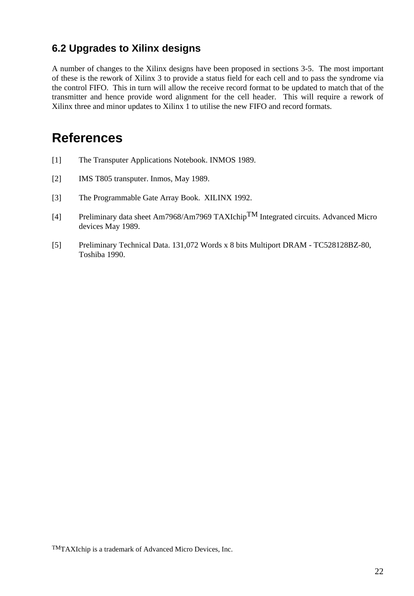## **6.2 Upgrades to Xilinx designs**

A number of changes to the Xilinx designs have been proposed in sections 3-5. The most important of these is the rework of Xilinx 3 to provide a status field for each cell and to pass the syndrome via the control FIFO. This in turn will allow the receive record format to be updated to match that of the transmitter and hence provide word alignment for the cell header. This will require a rework of Xilinx three and minor updates to Xilinx 1 to utilise the new FIFO and record formats.

# **References**

- [1] The Transputer Applications Notebook. INMOS 1989.
- [2] **IMS T805 transputer. Inmos, May 1989.**
- [3] The Programmable Gate Array Book. XILINX 1992.
- [4] Preliminary data sheet Am7968/Am7969 TAXIchip<sup>TM</sup> Integrated circuits. Advanced Micro devices May 1989.
- [5] Preliminary Technical Data. 131,072 Words x 8 bits Multiport DRAM TC528128BZ-80, Toshiba 1990.

TMTAXIchip is a trademark of Advanced Micro Devices, Inc.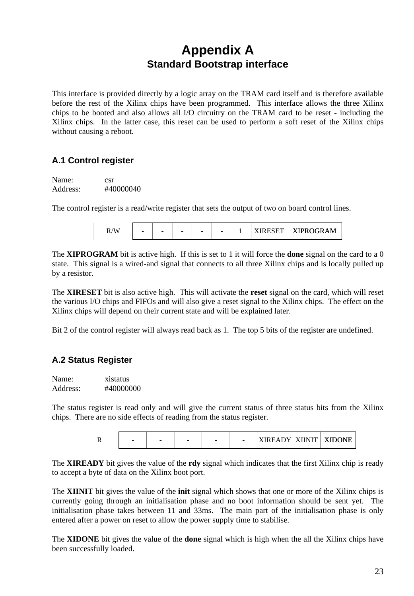# **Appendix A Standard Bootstrap interface**

This interface is provided directly by a logic array on the TRAM card itself and is therefore available before the rest of the Xilinx chips have been programmed. This interface allows the three Xilinx chips to be booted and also allows all I/O circuitry on the TRAM card to be reset - including the Xilinx chips. In the latter case, this reset can be used to perform a soft reset of the Xilinx chips without causing a reboot.

#### **A.1 Control register**

Name: csr Address: #40000040

The control register is a read/write register that sets the output of two on board control lines.

| $\sqrt{W}$ | $\overline{\phantom{a}}$ | $\overline{\phantom{0}}$ | $\overline{\phantom{a}}$ | $\overline{\phantom{a}}$ | $\overline{\phantom{a}}$ |  | DECEE | <b>XIPROGRAM</b> |
|------------|--------------------------|--------------------------|--------------------------|--------------------------|--------------------------|--|-------|------------------|
|------------|--------------------------|--------------------------|--------------------------|--------------------------|--------------------------|--|-------|------------------|

The **XIPROGRAM** bit is active high. If this is set to 1 it will force the **done** signal on the card to a 0 state. This signal is a wired-and signal that connects to all three Xilinx chips and is locally pulled up by a resistor.

The **XIRESET** bit is also active high. This will activate the **reset** signal on the card, which will reset the various I/O chips and FIFOs and will also give a reset signal to the Xilinx chips. The effect on the Xilinx chips will depend on their current state and will be explained later.

Bit 2 of the control register will always read back as 1. The top 5 bits of the register are undefined.

#### **A.2 Status Register**

Name: xistatus Address: #40000000

The status register is read only and will give the current status of three status bits from the Xilinx chips. There are no side effects of reading from the status register.

| <b>XIDONE</b><br>-<br>$\overline{\phantom{a}}$<br>$\sim$<br>-<br> |
|-------------------------------------------------------------------|
|-------------------------------------------------------------------|

The **XIREADY** bit gives the value of the **rdy** signal which indicates that the first Xilinx chip is ready to accept a byte of data on the Xilinx boot port.

The **XIINIT** bit gives the value of the **init** signal which shows that one or more of the Xilinx chips is currently going through an initialisation phase and no boot information should be sent yet. The initialisation phase takes between 11 and 33ms. The main part of the initialisation phase is only entered after a power on reset to allow the power supply time to stabilise.

The **XIDONE** bit gives the value of the **done** signal which is high when the all the Xilinx chips have been successfully loaded.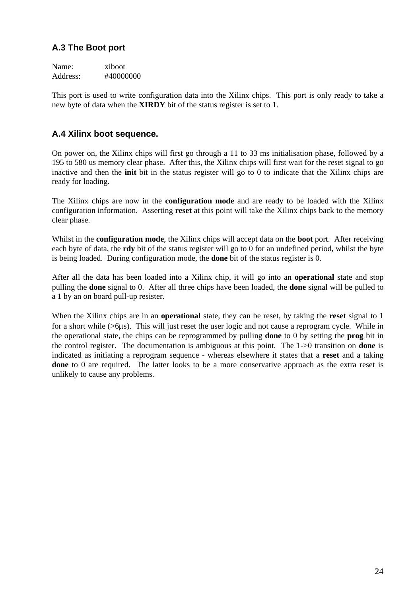#### **A.3 The Boot port**

Name: xiboot Address: #40000000

This port is used to write configuration data into the Xilinx chips. This port is only ready to take a new byte of data when the **XIRDY** bit of the status register is set to 1.

#### **A.4 Xilinx boot sequence.**

On power on, the Xilinx chips will first go through a 11 to 33 ms initialisation phase, followed by a 195 to 580 us memory clear phase. After this, the Xilinx chips will first wait for the reset signal to go inactive and then the **init** bit in the status register will go to 0 to indicate that the Xilinx chips are ready for loading.

The Xilinx chips are now in the **configuration mode** and are ready to be loaded with the Xilinx configuration information. Asserting **reset** at this point will take the Xilinx chips back to the memory clear phase.

Whilst in the **configuration mode**, the Xilinx chips will accept data on the **boot** port. After receiving each byte of data, the **rdy** bit of the status register will go to 0 for an undefined period, whilst the byte is being loaded. During configuration mode, the **done** bit of the status register is 0.

After all the data has been loaded into a Xilinx chip, it will go into an **operational** state and stop pulling the **done** signal to 0. After all three chips have been loaded, the **done** signal will be pulled to a 1 by an on board pull-up resister.

When the Xilinx chips are in an **operational** state, they can be reset, by taking the **reset** signal to 1 for a short while (>6µs). This will just reset the user logic and not cause a reprogram cycle. While in the operational state, the chips can be reprogrammed by pulling **done** to 0 by setting the **prog** bit in the control register. The documentation is ambiguous at this point. The 1->0 transition on **done** is indicated as initiating a reprogram sequence - whereas elsewhere it states that a **reset** and a taking **done** to 0 are required. The latter looks to be a more conservative approach as the extra reset is unlikely to cause any problems.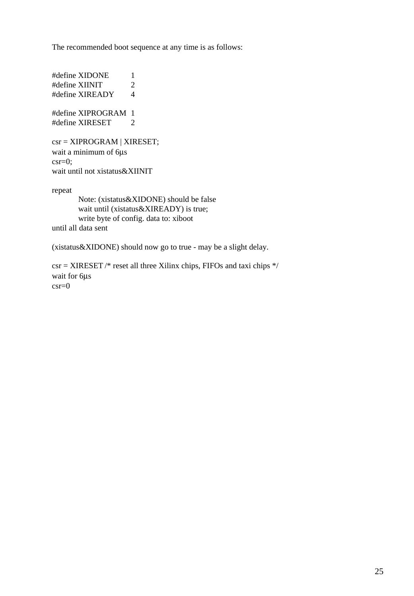The recommended boot sequence at any time is as follows:

#define XIDONE 1 #define XIINIT 2 #define XIREADY 4 #define XIPROGRAM 1 #define XIRESET 2

csr = XIPROGRAM | XIRESET; wait a minimum of 6µs  $\text{c}$ sr=0; wait until not xistatus&XIINIT

repeat

Note: (xistatus&XIDONE) should be false wait until (xistatus&XIREADY) is true; write byte of config. data to: xiboot until all data sent

(xistatus&XIDONE) should now go to true - may be a slight delay.

csr = XIRESET /\* reset all three Xilinx chips, FIFOs and taxi chips \*/ wait for 6µs  $\csc=0$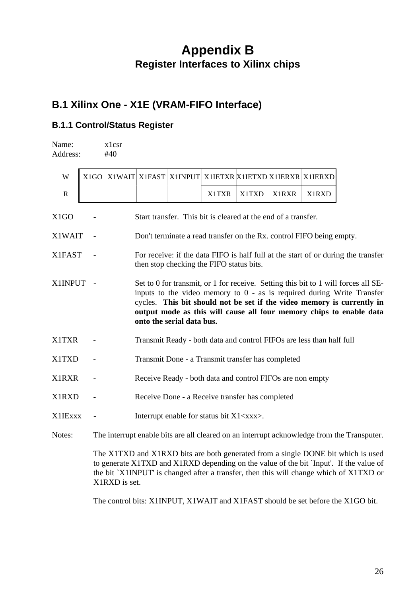# **Appendix B Register Interfaces to Xilinx chips**

# **B.1 Xilinx One - X1E (VRAM-FIFO Interface)**

#### **B.1.1 Control/Status Register**

X1RXD is set.

| Name:<br>Address: |                                                                                                                                                                                                                                                                                                                                              | x1csr<br>#40                                                                                                                  |                                                           |  |                                                               |       |              |                                                                      |                                                                                                                                                                                                                                                                      |
|-------------------|----------------------------------------------------------------------------------------------------------------------------------------------------------------------------------------------------------------------------------------------------------------------------------------------------------------------------------------------|-------------------------------------------------------------------------------------------------------------------------------|-----------------------------------------------------------|--|---------------------------------------------------------------|-------|--------------|----------------------------------------------------------------------|----------------------------------------------------------------------------------------------------------------------------------------------------------------------------------------------------------------------------------------------------------------------|
| W                 | X <sub>1</sub> GO                                                                                                                                                                                                                                                                                                                            |                                                                                                                               | X1WAIT X1FAST                                             |  | X1INPUT X1IETXR X1IETXD X1IERXR X1IERXD                       |       |              |                                                                      |                                                                                                                                                                                                                                                                      |
| R                 |                                                                                                                                                                                                                                                                                                                                              |                                                                                                                               |                                                           |  | <b>X1TXR</b>                                                  | X1TXD | <b>X1RXR</b> | X1RXD                                                                |                                                                                                                                                                                                                                                                      |
| X1GO              |                                                                                                                                                                                                                                                                                                                                              |                                                                                                                               |                                                           |  | Start transfer. This bit is cleared at the end of a transfer. |       |              |                                                                      |                                                                                                                                                                                                                                                                      |
| X1WAIT            |                                                                                                                                                                                                                                                                                                                                              |                                                                                                                               |                                                           |  |                                                               |       |              | Don't terminate a read transfer on the Rx. control FIFO being empty. |                                                                                                                                                                                                                                                                      |
| X1FAST            |                                                                                                                                                                                                                                                                                                                                              | For receive: if the data FIFO is half full at the start of or during the transfer<br>then stop checking the FIFO status bits. |                                                           |  |                                                               |       |              |                                                                      |                                                                                                                                                                                                                                                                      |
| X1INPUT           | Set to 0 for transmit, or 1 for receive. Setting this bit to 1 will forces all SE-<br>inputs to the video memory to $0$ - as is required during Write Transfer<br>cycles. This bit should not be set if the video memory is currently in<br>output mode as this will cause all four memory chips to enable data<br>onto the serial data bus. |                                                                                                                               |                                                           |  |                                                               |       |              |                                                                      |                                                                                                                                                                                                                                                                      |
| <b>X1TXR</b>      |                                                                                                                                                                                                                                                                                                                                              |                                                                                                                               |                                                           |  |                                                               |       |              | Transmit Ready - both data and control FIFOs are less than half full |                                                                                                                                                                                                                                                                      |
| <b>X1TXD</b>      |                                                                                                                                                                                                                                                                                                                                              |                                                                                                                               | Transmit Done - a Transmit transfer has completed         |  |                                                               |       |              |                                                                      |                                                                                                                                                                                                                                                                      |
| <b>X1RXR</b>      |                                                                                                                                                                                                                                                                                                                                              |                                                                                                                               | Receive Ready - both data and control FIFOs are non empty |  |                                                               |       |              |                                                                      |                                                                                                                                                                                                                                                                      |
| X1RXD             |                                                                                                                                                                                                                                                                                                                                              | Receive Done - a Receive transfer has completed                                                                               |                                                           |  |                                                               |       |              |                                                                      |                                                                                                                                                                                                                                                                      |
| <b>X1IExxx</b>    |                                                                                                                                                                                                                                                                                                                                              |                                                                                                                               |                                                           |  | Interrupt enable for status bit X1 <xxx>.</xxx>               |       |              |                                                                      |                                                                                                                                                                                                                                                                      |
| Notes:            |                                                                                                                                                                                                                                                                                                                                              |                                                                                                                               |                                                           |  |                                                               |       |              |                                                                      | The interrupt enable bits are all cleared on an interrupt acknowledge from the Transputer.                                                                                                                                                                           |
|                   |                                                                                                                                                                                                                                                                                                                                              |                                                                                                                               |                                                           |  |                                                               |       |              |                                                                      | The X1TXD and X1RXD bits are both generated from a single DONE bit which is used<br>to generate X1TXD and X1RXD depending on the value of the bit `Input'. If the value of<br>the bit `X1INPUT' is changed after a transfer, then this will change which of X1TXD or |

The control bits: X1INPUT, X1WAIT and X1FAST should be set before the X1GO bit.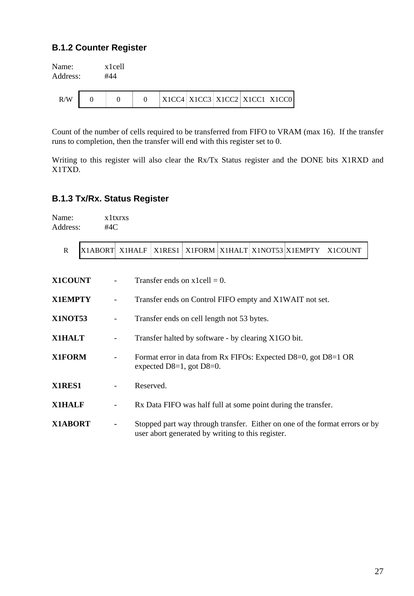#### **B.1.2 Counter Register**

Name: x1cell Address: #44

| R/W |  |  |  |  | X1CC4   X1CC3   X1CC2   X1CC1   X1CC0 |  |  |  |
|-----|--|--|--|--|---------------------------------------|--|--|--|
|-----|--|--|--|--|---------------------------------------|--|--|--|

Count of the number of cells required to be transferred from FIFO to VRAM (max 16). If the transfer runs to completion, then the transfer will end with this register set to 0.

Writing to this register will also clear the Rx/Tx Status register and the DONE bits X1RXD and X1TXD.

#### **B.1.3 Tx/Rx. Status Register**

Name: x1txrxs Address: #4C

|  | X1ABORT X1HALF   X1RES1 |  |  |  |  |  | $\vert$ X1FORM $\vert$ X1HALT $\vert$ X1NOT53 $\vert$ X1EMPTY $\vert$ | – X1COUNT |
|--|-------------------------|--|--|--|--|--|-----------------------------------------------------------------------|-----------|
|--|-------------------------|--|--|--|--|--|-----------------------------------------------------------------------|-----------|

| <b>X1COUNT</b> |                          | Transfer ends on $x1cell = 0$ .                                                                                                  |
|----------------|--------------------------|----------------------------------------------------------------------------------------------------------------------------------|
| <b>X1EMPTY</b> | $\overline{\phantom{0}}$ | Transfer ends on Control FIFO empty and X1WAIT not set.                                                                          |
| <b>X1NOT53</b> | $\overline{\phantom{a}}$ | Transfer ends on cell length not 53 bytes.                                                                                       |
| <b>X1HALT</b>  | $\qquad \qquad -$        | Transfer halted by software - by clearing X1GO bit.                                                                              |
| X1FORM         | -                        | Format error in data from Rx FIFOs: Expected D8=0, got D8=1 OR<br>expected $D8=1$ , got $D8=0$ .                                 |
| X1RES1         | -                        | Reserved.                                                                                                                        |
| <b>X1HALF</b>  | $\qquad \qquad -$        | Rx Data FIFO was half full at some point during the transfer.                                                                    |
| X1ABORT        | ۰                        | Stopped part way through transfer. Either on one of the format errors or by<br>user abort generated by writing to this register. |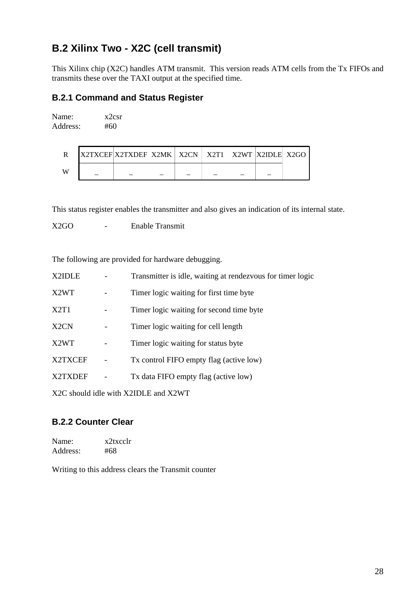# **B.2 Xilinx Two - X2C (cell transmit)**

This Xilinx chip (X2C) handles ATM transmit. This version reads ATM cells from the Tx FIFOs and transmits these over the TAXI output at the specified time.

#### **B.2.1 Command and Status Register**

Name: x2csr Address: #60

|   | <b>IX2TXCEFIX2TXDEFI X2MK   X2CN   X2T1   X2WT  X2IDLE   X2GO</b> |  |  |  |
|---|-------------------------------------------------------------------|--|--|--|
| W |                                                                   |  |  |  |

This status register enables the transmitter and also gives an indication of its internal state.

X2GO - Enable Transmit

The following are provided for hardware debugging.

| X2IDLE                        | Transmitter is idle, waiting at rendezvous for timer logic |
|-------------------------------|------------------------------------------------------------|
| X <sub>2</sub> W <sub>T</sub> | Timer logic waiting for first time byte                    |
| X2T1                          | Timer logic waiting for second time byte.                  |
| X <sub>2</sub> CN             | Timer logic waiting for cell length                        |
| X <sub>2</sub> W <sub>T</sub> | Timer logic waiting for status byte                        |
| X2TXCEF                       | Tx control FIFO empty flag (active low)                    |
| X2TXDEF                       | Tx data FIFO empty flag (active low)                       |
|                               |                                                            |

X2C should idle with X2IDLE and X2WT

#### **B.2.2 Counter Clear**

Name: x2txcclr Address: #68

Writing to this address clears the Transmit counter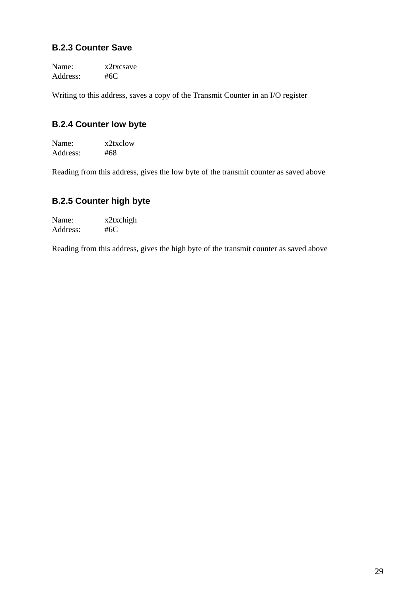#### **B.2.3 Counter Save**

Name: x2txcsave Address: #6C

Writing to this address, saves a copy of the Transmit Counter in an I/O register

#### **B.2.4 Counter low byte**

Name: x2txclow Address: #68

Reading from this address, gives the low byte of the transmit counter as saved above

#### **B.2.5 Counter high byte**

Name: x2txchigh Address: #6C

Reading from this address, gives the high byte of the transmit counter as saved above